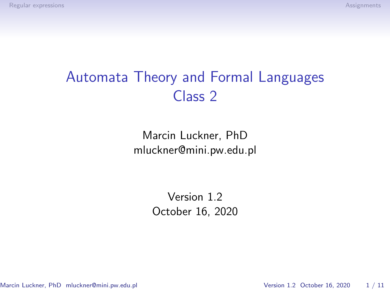# Automata Theory and Formal Languages Class 2

Marcin Luckner, PhD mluckner@mini.pw.edu.pl

> Version 1.2 October 16, 2020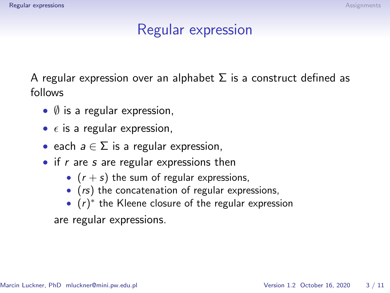## Regular expression

<span id="page-1-0"></span>A regular expression over an alphabet  $\Sigma$  is a construct defined as follows

- $\bullet$   $\emptyset$  is a regular expression,
- $\epsilon$  is a regular expression,
- each  $a \in \Sigma$  is a regular expression,
- $\bullet$  if r are s are regular expressions then
	- $(r + s)$  the sum of regular expressions,
	- (*rs*) the concatenation of regular expressions,
	- $(r)^*$  the Kleene closure of the regular expression

are regular expressions.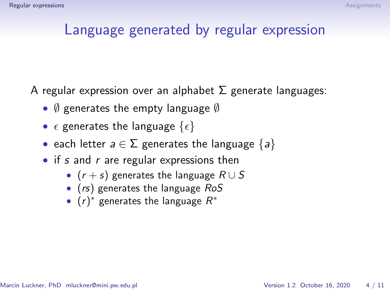### Language generated by regular expression

A regular expression over an alphabet  $\Sigma$  generate languages:

- $\emptyset$  generates the empty language  $\emptyset$
- $\epsilon$  generates the language  $\{\epsilon\}$
- each letter  $a \in \Sigma$  generates the language  $\{a\}$
- if s and  $r$  are regular expressions then
	- $(r + s)$  generates the language  $R \cup S$
	- (rs) generates the language RoS
	- $(r)^*$  generates the language  $R^*$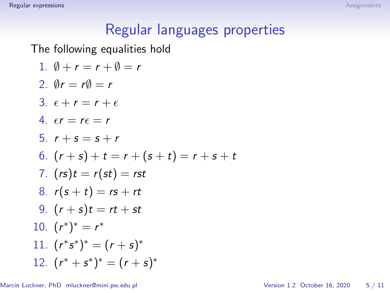# Regular languages properties

The following equalities hold

1. 
$$
\emptyset + r = r + \emptyset = r
$$
  
\n2.  $\emptyset r = r\emptyset = r$   
\n3.  $\epsilon + r = r + \epsilon$   
\n4.  $\epsilon r = r\epsilon = r$   
\n5.  $r + s = s + r$   
\n6.  $(r + s) + t = r + (s + t) = r + s + t$   
\n7.  $(rs)t = r(st) = rst$   
\n8.  $r(s + t) = rs + rt$   
\n9.  $(r + s)t = rt + st$   
\n10.  $(r^*)^* = r^*$   
\n11.  $(r^*s^*)^* = (r + s)^*$   
\n12.  $(r^* + s^*)^* = (r + s)^*$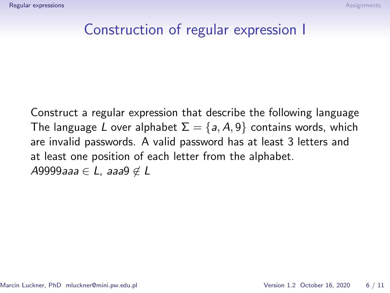#### Construction of regular expression I

Construct a regular expression that describe the following language The language L over alphabet  $\Sigma = \{a, A, \theta\}$  contains words, which are invalid passwords. A valid password has at least 3 letters and at least one position of each letter from the alphabet. A9999aaa  $\in$  L, aaa9  $\notin$  L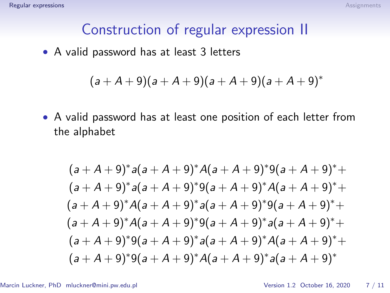#### Construction of regular expression II

• A valid password has at least 3 letters

$$
(a+A+9)(a+A+9)(a+A+9)(a+A+9)^*
$$

• A valid password has at least one position of each letter from the alphabet

$$
(a + A + 9)^* a (a + A + 9)^* A (a + A + 9)^* 9 (a + A + 9)^* +
$$
  
\n
$$
(a + A + 9)^* a (a + A + 9)^* 9 (a + A + 9)^* A (a + A + 9)^* +
$$
  
\n
$$
(a + A + 9)^* A (a + A + 9)^* a (a + A + 9)^* 9 (a + A + 9)^* +
$$
  
\n
$$
(a + A + 9)^* A (a + A + 9)^* 9 (a + A + 9)^* a (a + A + 9)^* +
$$
  
\n
$$
(a + A + 9)^* 9 (a + A + 9)^* a (a + A + 9)^* A (a + A + 9)^* +
$$
  
\n
$$
(a + A + 9)^* 9 (a + A + 9)^* A (a + A + 9)^* a (a + A + 9)^*
$$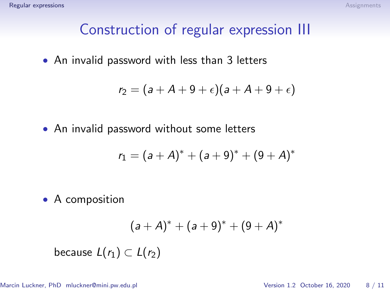### Construction of regular expression III

• An invalid password with less than 3 letters

$$
r_2=(a+A+9+\epsilon)(a+A+9+\epsilon)
$$

• An invalid password without some letters

$$
r_1 = (a + A)^* + (a + 9)^* + (9 + A)^*
$$

• A composition

$$
(a + A)^* + (a + 9)^* + (9 + A)^*
$$

because  $L(r_1) \subset L(r_2)$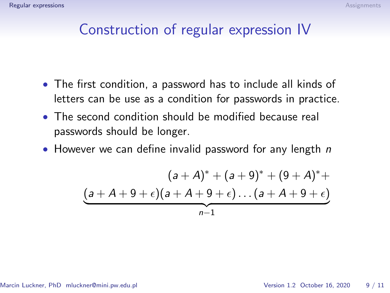#### Construction of regular expression IV

- The first condition, a password has to include all kinds of letters can be use as a condition for passwords in practice.
- The second condition should be modified because real passwords should be longer.
- However we can define invalid password for any length  $n$

$$
(a + A)^* + (a + 9)^* + (9 + A)^* +
$$
  
\n
$$
(a + A + 9 + \epsilon)(a + A + 9 + \epsilon) \dots (a + A + 9 + \epsilon)
$$
  
\n
$$
a - 1
$$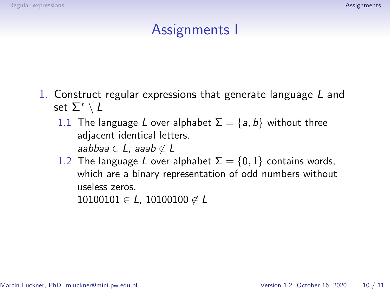## Assignments I

- <span id="page-8-0"></span>1. Construct regular expressions that generate language L and set  $\Sigma^* \setminus L$ 
	- 1.1 The language L over alphabet  $\Sigma = \{a, b\}$  without three adjacent identical letters. aabbaa  $\in L$ , aaab  $\notin L$
	- 1.2 The language L over alphabet  $\Sigma = \{0, 1\}$  contains words, which are a binary representation of odd numbers without useless zeros.

 $10100101 \in L$ , 10100100  $\notin L$